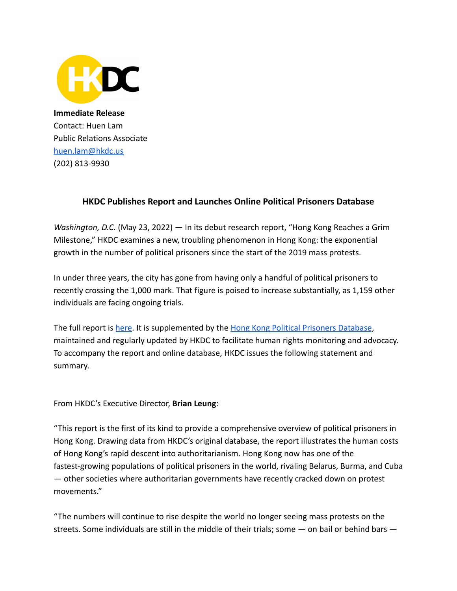

**Immediate Release** Contact: Huen Lam Public Relations Associate [huen.lam@hkdc.us](mailto:huen.lam@hkdc.us) (202) 813-9930

## **HKDC Publishes Report and Launches Online Political Prisoners Database**

*Washington, D.C.* (May 23, 2022) — In its debut research report, "Hong Kong Reaches a Grim Milestone," HKDC examines a new, troubling phenomenon in Hong Kong: the exponential growth in the number of political prisoners since the start of the 2019 mass protests.

In under three years, the city has gone from having only a handful of political prisoners to recently crossing the 1,000 mark. That figure is poised to increase substantially, as 1,159 other individuals are facing ongoing trials.

The full report is [here](https://hkdc.us/political-prisoners-research-report/). It is supplemented by the [Hong Kong Political Prisoners Database](https://hkdc.us/political-prisoners-latest-update/), maintained and regularly updated by HKDC to facilitate human rights monitoring and advocacy. To accompany the report and online database, HKDC issues the following statement and summary.

From HKDC's Executive Director, **Brian Leung**:

"This report is the first of its kind to provide a comprehensive overview of political prisoners in Hong Kong. Drawing data from HKDC's original database, the report illustrates the human costs of Hong Kong's rapid descent into authoritarianism. Hong Kong now has one of the fastest-growing populations of political prisoners in the world, rivaling Belarus, Burma, and Cuba — other societies where authoritarian governments have recently cracked down on protest movements."

"The numbers will continue to rise despite the world no longer seeing mass protests on the streets. Some individuals are still in the middle of their trials; some — on bail or behind bars —